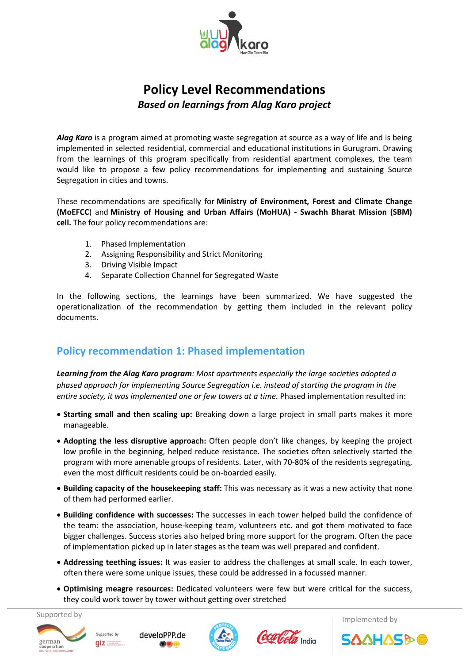

# **Policy Level Recommendations**  *Based on learnings from Alag Karo project*

*Alag Karo* is a program aimed at promoting waste segregation at source as a way of life and is being implemented in selected residential, commercial and educational institutions in Gurugram. Drawing from the learnings of this program specifically from residential apartment complexes, the team would like to propose a few policy recommendations for implementing and sustaining Source Segregation in cities and towns.

These recommendations are specifically for **Ministry of Environment, Forest and Climate Change (MoEFCC**) and **Ministry of Housing and Urban Affairs (MoHUA) - Swachh Bharat Mission (SBM) cell.** The four policy recommendations are:

- 1. Phased Implementation
- 2. Assigning Responsibility and Strict Monitoring
- 3. Driving Visible Impact
- 4. Separate Collection Channel for Segregated Waste

In the following sections, the learnings have been summarized. We have suggested the operationalization of the recommendation by getting them included in the relevant policy documents.

# **Policy recommendation 1: Phased implementation**

*Learning from the Alag Karo program: Most apartments especially the large societies adopted a phased approach for implementing Source Segregation i.e. instead of starting the program in the entire society, it was implemented one or few towers at a time.* Phased implementation resulted in:

- **Starting small and then scaling up:** Breaking down a large project in small parts makes it more manageable.
- **Adopting the less disruptive approach:** Often people don't like changes, by keeping the project low profile in the beginning, helped reduce resistance. The societies often selectively started the program with more amenable groups of residents. Later, with 70-80% of the residents segregating, even the most difficult residents could be on-boarded easily.
- **Building capacity of the housekeeping staff:** This was necessary as it was a new activity that none of them had performed earlier.
- **Building confidence with successes:** The successes in each tower helped build the confidence of the team: the association, house-keeping team, volunteers etc. and got them motivated to face bigger challenges. Success stories also helped bring more support for the program. Often the pace of implementation picked up in later stages as the team was well prepared and confident.
- **Addressing teething issues:** It was easier to address the challenges at small scale. In each tower, often there were some unique issues, these could be addressed in a focussed manner.
- **Optimising meagre resources:** Dedicated volunteers were few but were critical for the success, they could work tower by tower without getting over stretched











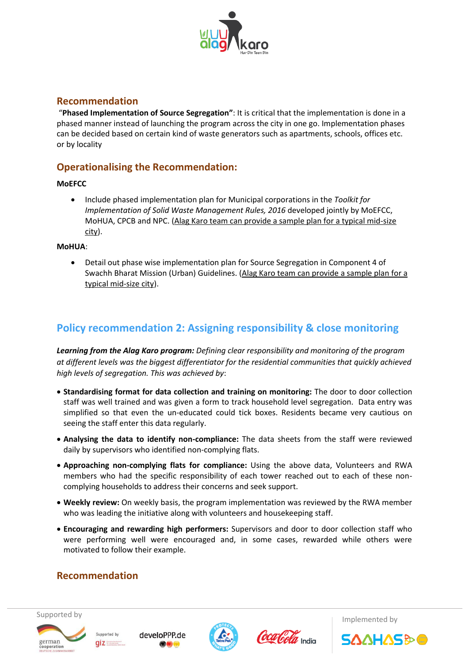

### **Recommendation**

"**Phased Implementation of Source Segregation"**: It is critical that the implementation is done in a phased manner instead of launching the program across the city in one go. Implementation phases can be decided based on certain kind of waste generators such as apartments, schools, offices etc. or by locality

### **Operationalising the Recommendation:**

#### **MoEFCC**

 Include phased implementation plan for Municipal corporations in the *Toolkit for Implementation of Solid Waste Management Rules, 2016* developed jointly by MoEFCC, MoHUA, CPCB and NPC. (Alag Karo team can provide a sample plan for a typical mid-size city).

#### **MoHUA**:

 Detail out phase wise implementation plan for Source Segregation in Component 4 of Swachh Bharat Mission (Urban) Guidelines. (Alag Karo team can provide a sample plan for a typical mid-size city).

# **Policy recommendation 2: Assigning responsibility & close monitoring**

*Learning from the Alag Karo program: Defining clear responsibility and monitoring of the program at different levels was the biggest differentiator for the residential communities that quickly achieved high levels of segregation. This was achieved by*:

- **Standardising format for data collection and training on monitoring:** The door to door collection staff was well trained and was given a form to track household level segregation. Data entry was simplified so that even the un-educated could tick boxes. Residents became very cautious on seeing the staff enter this data regularly.
- **Analysing the data to identify non-compliance:** The data sheets from the staff were reviewed daily by supervisors who identified non-complying flats.
- **Approaching non-complying flats for compliance:** Using the above data, Volunteers and RWA members who had the specific responsibility of each tower reached out to each of these noncomplying households to address their concerns and seek support.
- **Weekly review:** On weekly basis, the program implementation was reviewed by the RWA member who was leading the initiative along with volunteers and housekeeping staff.
- **Encouraging and rewarding high performers:** Supervisors and door to door collection staff who were performing well were encouraged and, in some cases, rewarded while others were motivated to follow their example.

## **Recommendation**













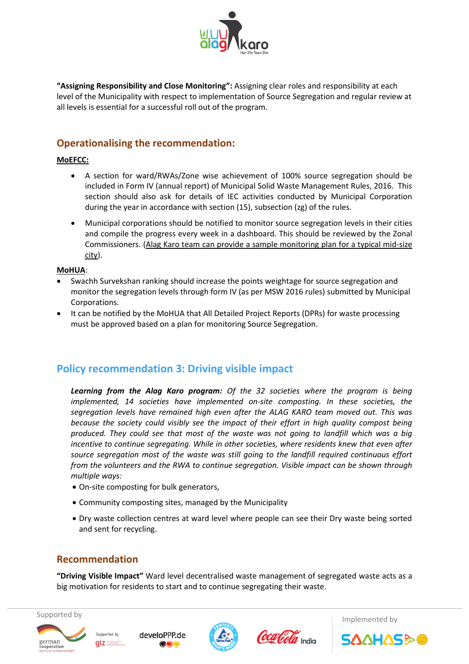

**"Assigning Responsibility and Close Monitoring":** Assigning clear roles and responsibility at each level of the Municipality with respect to implementation of Source Segregation and regular review at all levels is essential for a successful roll out of the program.

# **Operationalising the recommendation:**

### **MoEFCC:**

- A section for ward/RWAs/Zone wise achievement of 100% source segregation should be included in Form IV (annual report) of Municipal Solid Waste Management Rules, 2016. This section should also ask for details of IEC activities conducted by Municipal Corporation during the year in accordance with section (15), subsection (zg) of the rules.
- Municipal corporations should be notified to monitor source segregation levels in their cities and compile the progress every week in a dashboard. This should be reviewed by the Zonal Commissioners. (Alag Karo team can provide a sample monitoring plan for a typical mid-size city).

#### **MoHUA**:

- Swachh Survekshan ranking should increase the points weightage for source segregation and monitor the segregation levels through form IV (as per MSW 2016 rules) submitted by Municipal Corporations.
- It can be notified by the MoHUA that All Detailed Project Reports (DPRs) for waste processing must be approved based on a plan for monitoring Source Segregation.

# **Policy recommendation 3: Driving visible impact**

*Learning from the Alag Karo program: Of the 32 societies where the program is being implemented, 14 societies have implemented on-site composting. In these societies, the segregation levels have remained high even after the ALAG KARO team moved out. This was because the society could visibly see the impact of their effort in high quality compost being produced. They could see that most of the waste was not going to landfill which was a big incentive to continue segregating. While in other societies, where residents knew that even after source segregation most of the waste was still going to the landfill required continuous effort from the volunteers and the RWA to continue segregation. Visible impact can be shown through multiple ways:* 

- On-site composting for bulk generators,
- Community composting sites, managed by the Municipality
- Dry waste collection centres at ward level where people can see their Dry waste being sorted and sent for recycling.

## **Recommendation**

**"Driving Visible Impact"** Ward level decentralised waste management of segregated waste acts as a big motivation for residents to start and to continue segregating their waste.



german







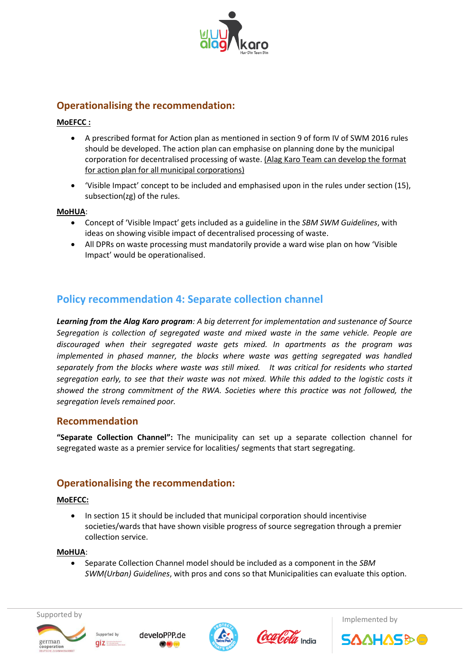

# **Operationalising the recommendation:**

### **MoEFCC :**

- A prescribed format for Action plan as mentioned in section 9 of form IV of SWM 2016 rules should be developed. The action plan can emphasise on planning done by the municipal corporation for decentralised processing of waste. (Alag Karo Team can develop the format for action plan for all municipal corporations)
- 'Visible Impact' concept to be included and emphasised upon in the rules under section (15), subsection(zg) of the rules.

### **MoHUA**:

- Concept of 'Visible Impact' gets included as a guideline in the *SBM SWM Guidelines*, with ideas on showing visible impact of decentralised processing of waste.
- All DPRs on waste processing must mandatorily provide a ward wise plan on how 'Visible Impact' would be operationalised.

# **Policy recommendation 4: Separate collection channel**

*Learning from the Alag Karo program: A big deterrent for implementation and sustenance of Source Segregation is collection of segregated waste and mixed waste in the same vehicle. People are discouraged when their segregated waste gets mixed. In apartments as the program was implemented in phased manner, the blocks where waste was getting segregated was handled separately from the blocks where waste was still mixed. It was critical for residents who started segregation early, to see that their waste was not mixed. While this added to the logistic costs it showed the strong commitment of the RWA. Societies where this practice was not followed, the segregation levels remained poor.* 

### **Recommendation**

**"Separate Collection Channel":** The municipality can set up a separate collection channel for segregated waste as a premier service for localities/ segments that start segregating.

## **Operationalising the recommendation:**

#### **MoEFCC:**

 In section 15 it should be included that municipal corporation should incentivise societies/wards that have shown visible progress of source segregation through a premier collection service.

#### **MoHUA**:

 Separate Collection Channel model should be included as a component in the *SBM SWM(Urban) Guidelines*, with pros and cons so that Municipalities can evaluate this option.



german